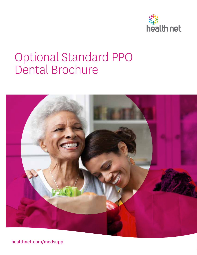

## Optional Standard PPO Dental Brochure



healthnet.com/medsupp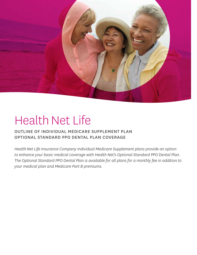

# Health Net Life

### OUTLINE OF INDIVIDUAL MEDICARE SUPPLEMENT PLAN OPTIONAL STANDARD PPO DENTAL PLAN COVERAGE

*Health Net Life Insurance Company Individual Medicare Supplement plans provide an option to enhance your basic medical coverage with Health Net's Optional Standard PPO Dental Plan. The Optional Standard PPO Dental Plan is available for all plans for a monthly fee in addition to your medical plan and Medicare Part B premiums.*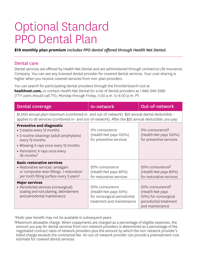## Optional Standard PPO Dental Plan

**\$19 monthly plan premium** *includes PPO dental offered through Health Net Dental.*

#### Dental care

Dental services are offered by Health Net Dental and are administered through Unimerica Life Insurance Company. You can see any licensed dental provider for covered dental services. Your cost-sharing is higher when you receive covered services from non-plan providers.

You can search for participating dental providers through the ProviderSearch tool at **healthnet.com,** or contact Health Net Dental for a list of dental providers at 1-866-249-2382 (TTY users should call 711), Monday through Friday, 5:00 a.m. to 8:00 p.m. PT.

| <b>Dental coverage</b>                                                                                                                                                                                                             | In-network                                                                                           | <b>Out-of-network</b>                                                                                                |
|------------------------------------------------------------------------------------------------------------------------------------------------------------------------------------------------------------------------------------|------------------------------------------------------------------------------------------------------|----------------------------------------------------------------------------------------------------------------------|
| \$1,000 annual plan maximum (combined in- and out-of-network). \$25 annual dental deductible -<br>applies to all services (combined in- and out-of-network). After the \$25 annual deductible, you pay:                            |                                                                                                      |                                                                                                                      |
| <b>Preventive and diagnostic</b><br>• 2 exams every 12 months<br>• 2 routine cleanings (adult prophylaxis)<br>every 12 months<br>• Bitewing X-rays once every 12 months<br>• Panoramic X-rays once every<br>36 months <sup>1</sup> | 0% coinsurance<br>(Health Net pays 100%)<br>for preventive services                                  | 0% coinsurance <sup>2</sup><br>(Health Net pays 100%)<br>for preventive services                                     |
| <b>Basic restorative services</b><br>• Restorative services: amalgam<br>or composite resin fillings, 1 restoration<br>per tooth filling surface every 3 years <sup>1</sup>                                                         | 20% coinsurance<br>(Health Net pays 80%)<br>for restorative services                                 | 20% coinsurance <sup>2</sup><br>(Health Net pays 80%)<br>for restorative services                                    |
| <b>Major services</b><br>• Periodontal services (nonsurgical):<br>scaling and root planing, debridement<br>and periodontal maintenance                                                                                             | 50% coinsurance<br>(Health Net pays 50%)<br>for nonsurgical periodontal<br>treatment and maintenance | 50% coinsurance <sup>2</sup><br>(Health Net pays<br>50%) for nonsurgical<br>periodontal treatment<br>and maintenance |

1Multi-year benefit may not be available in subsequent years.

2Maximum allowable charge: When copayments are charged as a percentage of eligible expenses, the amount you pay for dental services from non-network providers is determined as a percentage of the negotiated contract rates of network providers plus the amount by which the non-network provider's billed charge exceeds the contracted fee. An out-of-network provider can provide a pretreatment cost estimate for covered dental services.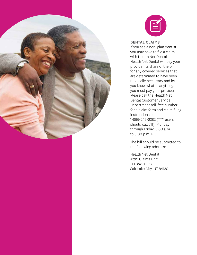



#### DENTAL CLAIMS

If you see a non-plan dentist, you may have to file a claim with Health Net Dental. Health Net Dental will pay your provider its share of the bill for any covered services that are determined to have been medically necessary and let you know what, if anything, you must pay your provider. Please call the Health Net Dental Customer Service Department toll-free number for a claim form and claim filing instructions at 1-866-249-2382 (TTY users should call 711), Monday through Friday, 5:00 a.m. to 8:00 p.m. PT.

The bill should be submitted to the following address:

Health Net Dental Attn: Claims Unit PO Box 30567 Salt Lake City, UT 84130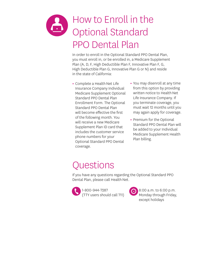### How to Enroll in the Optional Standard PPO Dental Plan

In order to enroll in the Optional Standard PPO Dental Plan, you must enroll in, or be enrolled in, a Medicare Supplement Plan (A, D, F, High Deductible Plan F, Innovative Plan F, G, High Deductible Plan G, Innovative Plan G or N) and reside in the state of California:

- **•** Complete a Health Net Life Insurance Company Individual Medicare Supplement Optional Standard PPO Dental Plan Enrollment Form. The Optional Standard PPO Dental Plan will become effective the first of the following month. You will receive a new Medicare Supplement Plan ID card that includes the customer service phone numbers for your Optional Standard PPO Dental coverage.
- **•** You may disenroll at any time from this option by providing written notice to Health Net Life Insurance Company. If you terminate coverage, you must wait 12 months until you may again apply for coverage.
- **•** Premium for the Optional Standard PPO Dental Plan will be added to your Individual Medicare Supplement Health Plan billing.

### **Questions**

If you have any questions regarding the Optional Standard PPO Dental Plan, please call Health Net.



8:00 a.m. to 6:00 p.m. Monday through Friday, except holidays